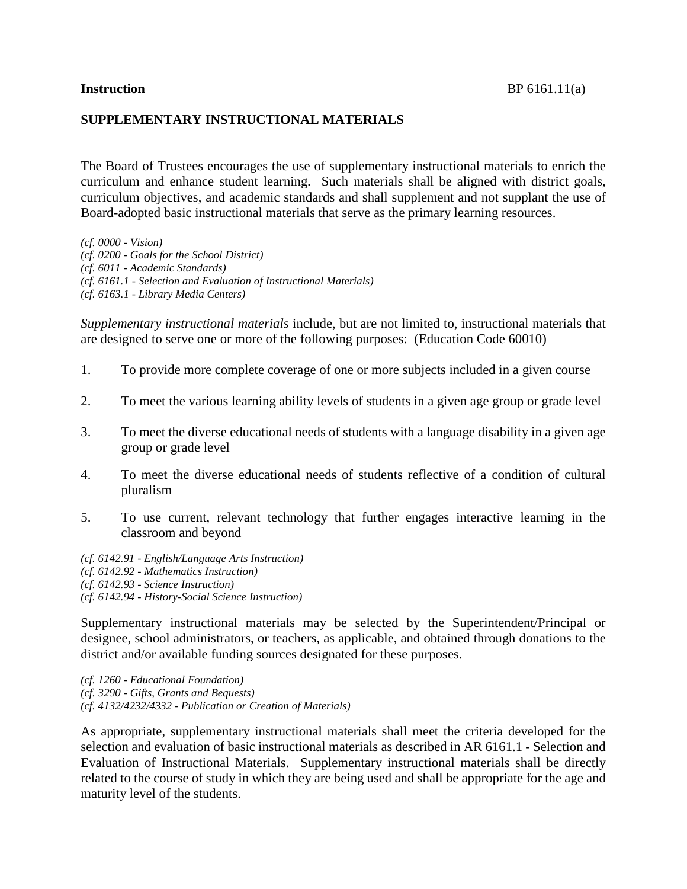## **SUPPLEMENTARY INSTRUCTIONAL MATERIALS**

The Board of Trustees encourages the use of supplementary instructional materials to enrich the curriculum and enhance student learning. Such materials shall be aligned with district goals, curriculum objectives, and academic standards and shall supplement and not supplant the use of Board-adopted basic instructional materials that serve as the primary learning resources.

*(cf. 0000 - Vision) (cf. 0200 - Goals for the School District) (cf. 6011 - Academic Standards) (cf. 6161.1 - Selection and Evaluation of Instructional Materials) (cf. 6163.1 - Library Media Centers)*

*Supplementary instructional materials* include, but are not limited to, instructional materials that are designed to serve one or more of the following purposes: (Education Code 60010)

- 1. To provide more complete coverage of one or more subjects included in a given course
- 2. To meet the various learning ability levels of students in a given age group or grade level
- 3. To meet the diverse educational needs of students with a language disability in a given age group or grade level
- 4. To meet the diverse educational needs of students reflective of a condition of cultural pluralism
- 5. To use current, relevant technology that further engages interactive learning in the classroom and beyond
- *(cf. 6142.91 - English/Language Arts Instruction) (cf. 6142.92 - Mathematics Instruction) (cf. 6142.93 - Science Instruction) (cf. 6142.94 - History-Social Science Instruction)*

Supplementary instructional materials may be selected by the Superintendent/Principal or designee, school administrators, or teachers, as applicable, and obtained through donations to the district and/or available funding sources designated for these purposes.

*(cf. 1260 - Educational Foundation) (cf. 3290 - Gifts, Grants and Bequests) (cf. 4132/4232/4332 - Publication or Creation of Materials)*

As appropriate, supplementary instructional materials shall meet the criteria developed for the selection and evaluation of basic instructional materials as described in AR 6161.1 - Selection and Evaluation of Instructional Materials. Supplementary instructional materials shall be directly related to the course of study in which they are being used and shall be appropriate for the age and maturity level of the students.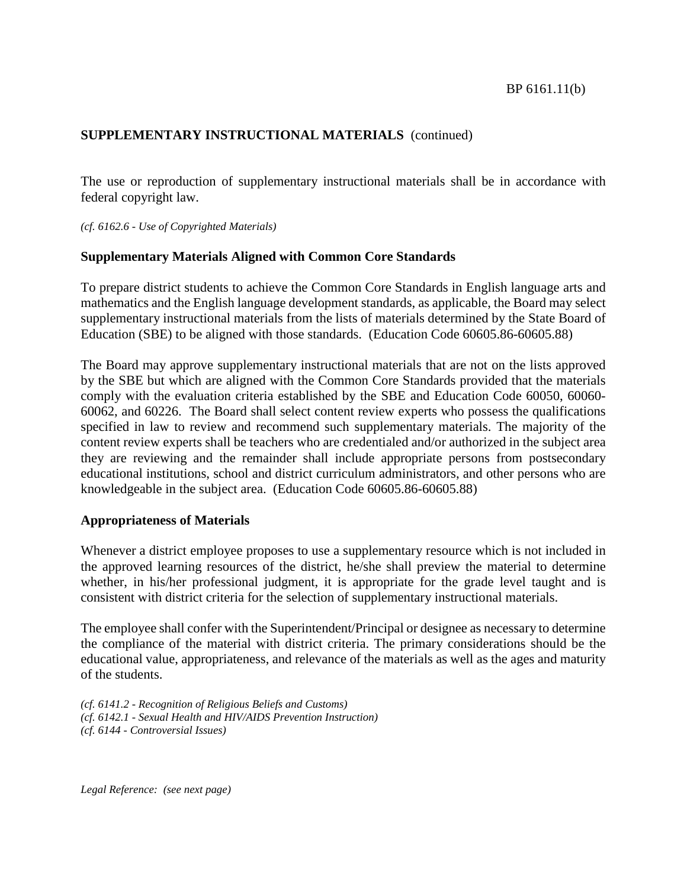# **SUPPLEMENTARY INSTRUCTIONAL MATERIALS** (continued)

The use or reproduction of supplementary instructional materials shall be in accordance with federal copyright law.

*(cf. 6162.6 - Use of Copyrighted Materials)*

## **Supplementary Materials Aligned with Common Core Standards**

To prepare district students to achieve the Common Core Standards in English language arts and mathematics and the English language development standards, as applicable, the Board may select supplementary instructional materials from the lists of materials determined by the State Board of Education (SBE) to be aligned with those standards. (Education Code 60605.86-60605.88)

The Board may approve supplementary instructional materials that are not on the lists approved by the SBE but which are aligned with the Common Core Standards provided that the materials comply with the evaluation criteria established by the SBE and Education Code 60050, 60060- 60062, and 60226. The Board shall select content review experts who possess the qualifications specified in law to review and recommend such supplementary materials. The majority of the content review experts shall be teachers who are credentialed and/or authorized in the subject area they are reviewing and the remainder shall include appropriate persons from postsecondary educational institutions, school and district curriculum administrators, and other persons who are knowledgeable in the subject area. (Education Code 60605.86-60605.88)

### **Appropriateness of Materials**

Whenever a district employee proposes to use a supplementary resource which is not included in the approved learning resources of the district, he/she shall preview the material to determine whether, in his/her professional judgment, it is appropriate for the grade level taught and is consistent with district criteria for the selection of supplementary instructional materials.

The employee shall confer with the Superintendent/Principal or designee as necessary to determine the compliance of the material with district criteria. The primary considerations should be the educational value, appropriateness, and relevance of the materials as well as the ages and maturity of the students.

*(cf. 6141.2 - Recognition of Religious Beliefs and Customs) (cf. 6142.1 - Sexual Health and HIV/AIDS Prevention Instruction) (cf. 6144 - Controversial Issues)*

*Legal Reference: (see next page)*